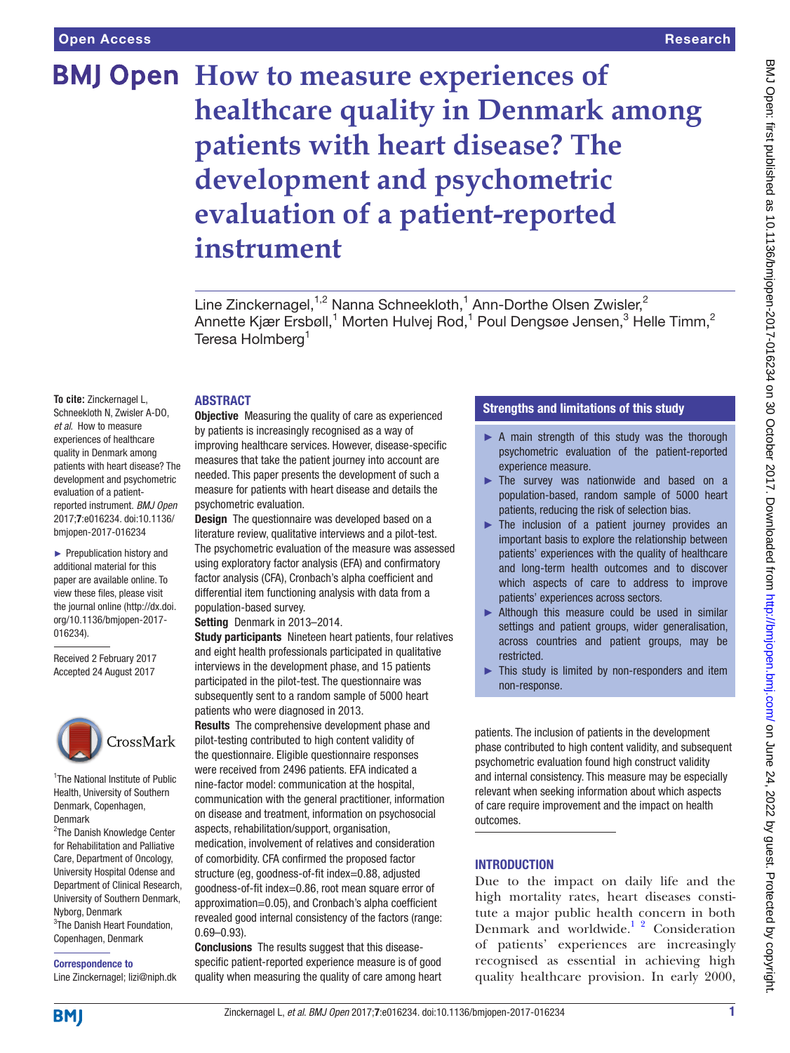# **BMJ Open How to measure experiences of healthcare quality in Denmark among patients with heart disease? The development and psychometric evaluation of a patient-reported instrument**

Line Zinckernagel,<sup>1,2</sup> Nanna Schneekloth,<sup>1</sup> Ann-Dorthe Olsen Zwisler,<sup>2</sup> Annette Kjær Ersbøll, $^1$  Morten Hulvej Rod, $^1$  Poul Dengsøe Jensen, $^3$  Helle Timm, $^2$ Teresa Holmberg<sup>1</sup>

#### **ABSTRACT**

**To cite:** Zinckernagel L, Schneekloth N, Zwisler A-DO, *et al*. How to measure experiences of healthcare quality in Denmark among patients with heart disease? The development and psychometric evaluation of a patientreported instrument. *BMJ Open* 2017;7:e016234. doi:10.1136/ bmjopen-2017-016234

► Prepublication history and additional material for this paper are available online. To view these files, please visit the journal online [\(http://dx.doi.](http://dx.doi.org/10.1136/bmjopen-2017-016234) [org/10.1136/bmjopen-2017-](http://dx.doi.org/10.1136/bmjopen-2017-016234) [016234\)](http://dx.doi.org/10.1136/bmjopen-2017-016234).

Received 2 February 2017 Accepted 24 August 2017



<sup>1</sup>The National Institute of Public Health, University of Southern Denmark, Copenhagen, Denmark

<sup>2</sup>The Danish Knowledge Center for Rehabilitation and Palliative Care, Department of Oncology, University Hospital Odense and Department of Clinical Research, University of Southern Denmark, Nyborg, Denmark <sup>3</sup>The Danish Heart Foundation,

Copenhagen, Denmark

## Correspondence to

Line Zinckernagel; lizi@niph.dk

# **Objective** Measuring the quality of care as experienced by patients is increasingly recognised as a way of improving healthcare services. However, disease-specific measures that take the patient journey into account are needed. This paper presents the development of such a measure for patients with heart disease and details the psychometric evaluation.

**Design** The questionnaire was developed based on a literature review, qualitative interviews and a pilot-test. The psychometric evaluation of the measure was assessed using exploratory factor analysis (EFA) and confirmatory factor analysis (CFA), Cronbach's alpha coefficient and differential item functioning analysis with data from a population-based survey.

Setting Denmark in 2013–2014.

**Study participants** Nineteen heart patients, four relatives and eight health professionals participated in qualitative interviews in the development phase, and 15 patients participated in the pilot-test. The questionnaire was subsequently sent to a random sample of 5000 heart patients who were diagnosed in 2013.

Results The comprehensive development phase and pilot-testing contributed to high content validity of the questionnaire. Eligible questionnaire responses were received from 2496 patients. EFA indicated a nine-factor model: communication at the hospital, communication with the general practitioner, information on disease and treatment, information on psychosocial aspects, rehabilitation/support, organisation, medication, involvement of relatives and consideration of comorbidity. CFA confirmed the proposed factor structure (eg, goodness-of-fit index=0.88, adjusted goodness-of-fit index=0.86, root mean square error of approximation=0.05), and Cronbach's alpha coefficient revealed good internal consistency of the factors (range: 0.69–0.93).

Conclusions The results suggest that this diseasespecific patient-reported experience measure is of good quality when measuring the quality of care among heart

# Strengths and limitations of this study

- ► A main strength of this study was the thorough psychometric evaluation of the patient-reported experience measure.
- ► The survey was nationwide and based on a population-based, random sample of 5000 heart patients, reducing the risk of selection bias.
- ► The inclusion of a patient journey provides an important basis to explore the relationship between patients' experiences with the quality of healthcare and long-term health outcomes and to discover which aspects of care to address to improve patients' experiences across sectors.
- ► Although this measure could be used in similar settings and patient groups, wider generalisation, across countries and patient groups, may be restricted.
- ► This study is limited by non-responders and item non-response.

patients. The inclusion of patients in the development phase contributed to high content validity, and subsequent psychometric evaluation found high construct validity and internal consistency. This measure may be especially relevant when seeking information about which aspects of care require improvement and the impact on health outcomes.

# **INTRODUCTION**

Due to the impact on daily life and the high mortality rates, heart diseases constitute a major public health concern in both Denmark and worldwide. $12$  Consideration of patients' experiences are increasingly recognised as essential in achieving high quality healthcare provision. In early 2000,

**BMI**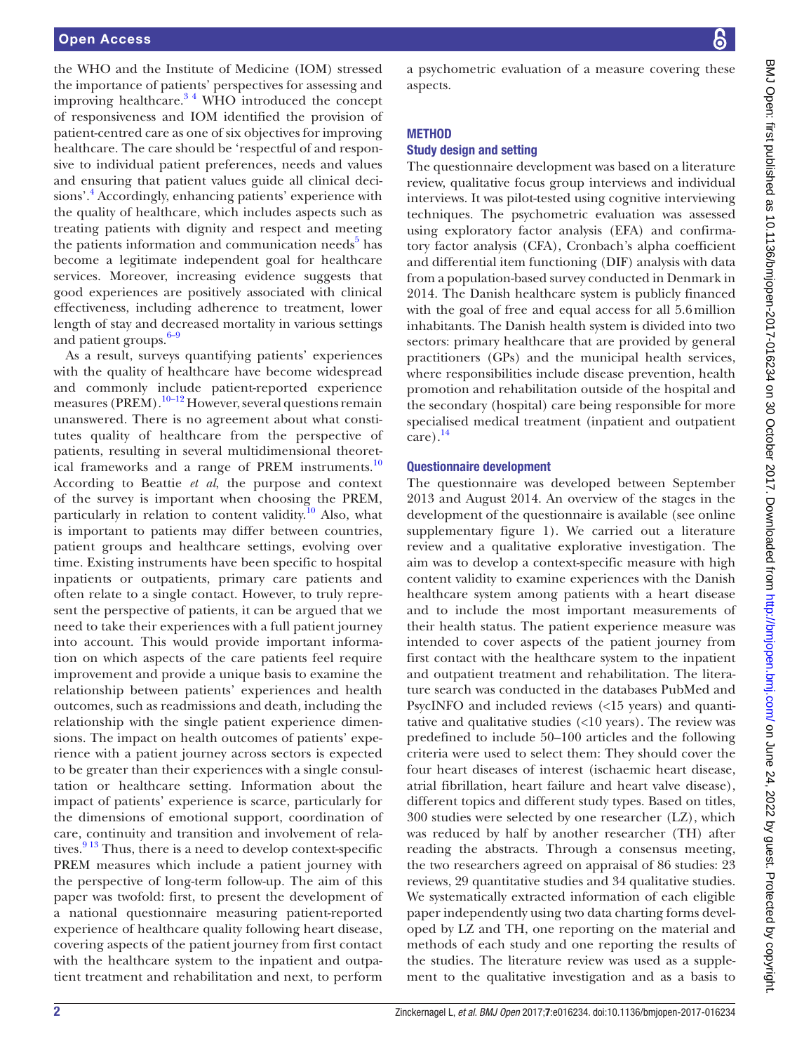the WHO and the Institute of Medicine (IOM) stressed the importance of patients' perspectives for assessing and improving healthcare.<sup>34</sup> WHO introduced the concept of responsiveness and IOM identified the provision of patient-centred care as one of six objectives for improving healthcare. The care should be 'respectful of and responsive to individual patient preferences, needs and values and ensuring that patient values guide all clinical deci-sions'.<sup>[4](#page-12-1)</sup> Accordingly, enhancing patients' experience with the quality of healthcare, which includes aspects such as treating patients with dignity and respect and meeting the patients information and communication needs<sup>[5](#page-12-2)</sup> has become a legitimate independent goal for healthcare services. Moreover, increasing evidence suggests that good experiences are positively associated with clinical effectiveness, including adherence to treatment, lower length of stay and decreased mortality in various settings and patient groups. $6-9$ 

As a result, surveys quantifying patients' experiences with the quality of healthcare have become widespread and commonly include patient-reported experience measures (PREM).[10–12](#page-12-4) However, several questions remain unanswered. There is no agreement about what constitutes quality of healthcare from the perspective of patients, resulting in several multidimensional theoret-ical frameworks and a range of PREM instruments.<sup>[10](#page-12-4)</sup> According to Beattie *et al*, the purpose and context of the survey is important when choosing the PREM, particularly in relation to content validity.<sup>10</sup> Also, what is important to patients may differ between countries, patient groups and healthcare settings, evolving over time. Existing instruments have been specific to hospital inpatients or outpatients, primary care patients and often relate to a single contact. However, to truly represent the perspective of patients, it can be argued that we need to take their experiences with a full patient journey into account. This would provide important information on which aspects of the care patients feel require improvement and provide a unique basis to examine the relationship between patients' experiences and health outcomes, such as readmissions and death, including the relationship with the single patient experience dimensions. The impact on health outcomes of patients' experience with a patient journey across sectors is expected to be greater than their experiences with a single consultation or healthcare setting. Information about the impact of patients' experience is scarce, particularly for the dimensions of emotional support, coordination of care, continuity and transition and involvement of relatives.<sup>913</sup> Thus, there is a need to develop context-specific PREM measures which include a patient journey with the perspective of long-term follow-up. The aim of this paper was twofold: first, to present the development of a national questionnaire measuring patient-reported experience of healthcare quality following heart disease, covering aspects of the patient journey from first contact with the healthcare system to the inpatient and outpatient treatment and rehabilitation and next, to perform

a psychometric evaluation of a measure covering these aspects.

# **METHOD**

# Study design and setting

The questionnaire development was based on a literature review, qualitative focus group interviews and individual interviews. It was pilot-tested using cognitive interviewing techniques. The psychometric evaluation was assessed using exploratory factor analysis (EFA) and confirmatory factor analysis (CFA), Cronbach's alpha coefficient and differential item functioning (DIF) analysis with data from a population-based survey conducted in Denmark in 2014. The Danish healthcare system is publicly financed with the goal of free and equal access for all 5.6million inhabitants. The Danish health system is divided into two sectors: primary healthcare that are provided by general practitioners (GPs) and the municipal health services, where responsibilities include disease prevention, health promotion and rehabilitation outside of the hospital and the secondary (hospital) care being responsible for more specialised medical treatment (inpatient and outpatient care)[.14](#page-12-6)

#### Questionnaire development

The questionnaire was developed between September 2013 and August 2014. An overview of the stages in the development of the questionnaire is available (see online [supplementary figure 1](https://dx.doi.org/10.1136/bmjopen-2017-016234)). We carried out a literature review and a qualitative explorative investigation. The aim was to develop a context-specific measure with high content validity to examine experiences with the Danish healthcare system among patients with a heart disease and to include the most important measurements of their health status. The patient experience measure was intended to cover aspects of the patient journey from first contact with the healthcare system to the inpatient and outpatient treatment and rehabilitation. The literature search was conducted in the databases PubMed and PsycINFO and included reviews (<15 years) and quantitative and qualitative studies (<10 years). The review was predefined to include 50–100 articles and the following criteria were used to select them: They should cover the four heart diseases of interest (ischaemic heart disease, atrial fibrillation, heart failure and heart valve disease), different topics and different study types. Based on titles, 300 studies were selected by one researcher (LZ), which was reduced by half by another researcher (TH) after reading the abstracts. Through a consensus meeting, the two researchers agreed on appraisal of 86 studies: 23 reviews, 29 quantitative studies and 34 qualitative studies. We systematically extracted information of each eligible paper independently using two data charting forms developed by LZ and TH, one reporting on the material and methods of each study and one reporting the results of the studies. The literature review was used as a supplement to the qualitative investigation and as a basis to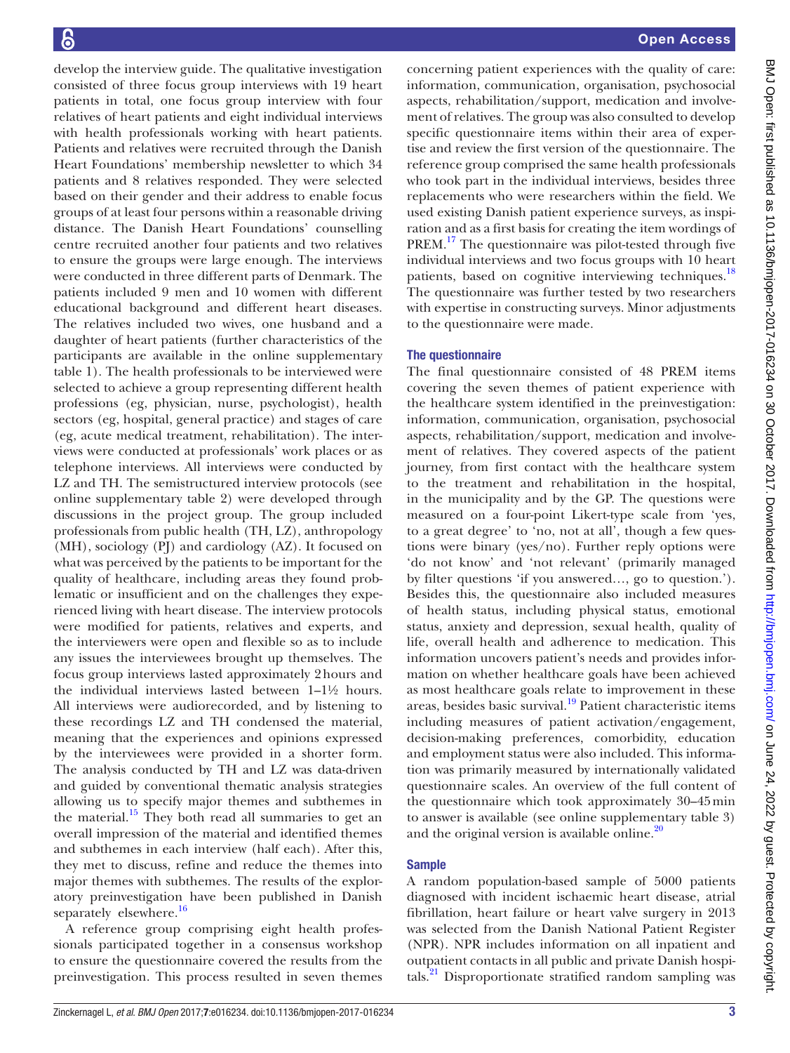develop the interview guide. The qualitative investigation consisted of three focus group interviews with 19 heart patients in total, one focus group interview with four relatives of heart patients and eight individual interviews with health professionals working with heart patients. Patients and relatives were recruited through the Danish Heart Foundations' membership newsletter to which 34 patients and 8 relatives responded. They were selected based on their gender and their address to enable focus groups of at least four persons within a reasonable driving distance. The Danish Heart Foundations' counselling centre recruited another four patients and two relatives to ensure the groups were large enough. The interviews were conducted in three different parts of Denmark. The patients included 9 men and 10 women with different educational background and different heart diseases. The relatives included two wives, one husband and a daughter of heart patients (further characteristics of the participants are available in the online [supplementary](https://dx.doi.org/10.1136/bmjopen-2017-016234) [table 1\)](https://dx.doi.org/10.1136/bmjopen-2017-016234). The health professionals to be interviewed were selected to achieve a group representing different health professions (eg, physician, nurse, psychologist), health sectors (eg, hospital, general practice) and stages of care (eg, acute medical treatment, rehabilitation). The interviews were conducted at professionals' work places or as telephone interviews. All interviews were conducted by LZ and TH. The semistructured interview protocols (see online [supplementary table 2](https://dx.doi.org/10.1136/bmjopen-2017-016234)) were developed through discussions in the project group. The group included professionals from public health (TH, LZ), anthropology (MH), sociology (PJ) and cardiology (AZ). It focused on what was perceived by the patients to be important for the quality of healthcare, including areas they found problematic or insufficient and on the challenges they experienced living with heart disease. The interview protocols were modified for patients, relatives and experts, and the interviewers were open and flexible so as to include any issues the interviewees brought up themselves. The focus group interviews lasted approximately 2hours and the individual interviews lasted between 1–1½ hours. All interviews were audiorecorded, and by listening to these recordings LZ and TH condensed the material, meaning that the experiences and opinions expressed by the interviewees were provided in a shorter form. The analysis conducted by TH and LZ was data-driven and guided by conventional thematic analysis strategies allowing us to specify major themes and subthemes in the material.<sup>[15](#page-12-7)</sup> They both read all summaries to get an overall impression of the material and identified themes and subthemes in each interview (half each). After this, they met to discuss, refine and reduce the themes into major themes with subthemes. The results of the exploratory preinvestigation have been published in Danish separately elsewhere.<sup>[16](#page-12-8)</sup>

A reference group comprising eight health professionals participated together in a consensus workshop to ensure the questionnaire covered the results from the preinvestigation. This process resulted in seven themes

concerning patient experiences with the quality of care: information, communication, organisation, psychosocial aspects, rehabilitation/support, medication and involvement of relatives. The group was also consulted to develop specific questionnaire items within their area of expertise and review the first version of the questionnaire. The reference group comprised the same health professionals who took part in the individual interviews, besides three replacements who were researchers within the field. We used existing Danish patient experience surveys, as inspiration and as a first basis for creating the item wordings of PREM.<sup>17</sup> The questionnaire was pilot-tested through five individual interviews and two focus groups with 10 heart patients, based on cognitive interviewing techniques.<sup>[18](#page-12-10)</sup> The questionnaire was further tested by two researchers with expertise in constructing surveys. Minor adjustments to the questionnaire were made.

# The questionnaire

The final questionnaire consisted of 48 PREM items covering the seven themes of patient experience with the healthcare system identified in the preinvestigation: information, communication, organisation, psychosocial aspects, rehabilitation/support, medication and involvement of relatives. They covered aspects of the patient journey, from first contact with the healthcare system to the treatment and rehabilitation in the hospital, in the municipality and by the GP. The questions were measured on a four-point Likert-type scale from 'yes, to a great degree' to 'no, not at all', though a few questions were binary (yes/no). Further reply options were 'do not know' and 'not relevant' (primarily managed by filter questions 'if you answered…, go to question.'). Besides this, the questionnaire also included measures of health status, including physical status, emotional status, anxiety and depression, sexual health, quality of life, overall health and adherence to medication. This information uncovers patient's needs and provides information on whether healthcare goals have been achieved as most healthcare goals relate to improvement in these areas, besides basic survival.<sup>[19](#page-12-11)</sup> Patient characteristic items including measures of patient activation/engagement, decision-making preferences, comorbidity, education and employment status were also included. This information was primarily measured by internationally validated questionnaire scales. An overview of the full content of the questionnaire which took approximately 30–45min to answer is available (see online [supplementary table 3](https://dx.doi.org/10.1136/bmjopen-2017-016234)) and the original version is available online. $20$ 

## Sample

A random population-based sample of 5000 patients diagnosed with incident ischaemic heart disease, atrial fibrillation, heart failure or heart valve surgery in 2013 was selected from the Danish National Patient Register (NPR). NPR includes information on all inpatient and outpatient contacts in all public and private Danish hospitals.<sup>21</sup> Disproportionate stratified random sampling was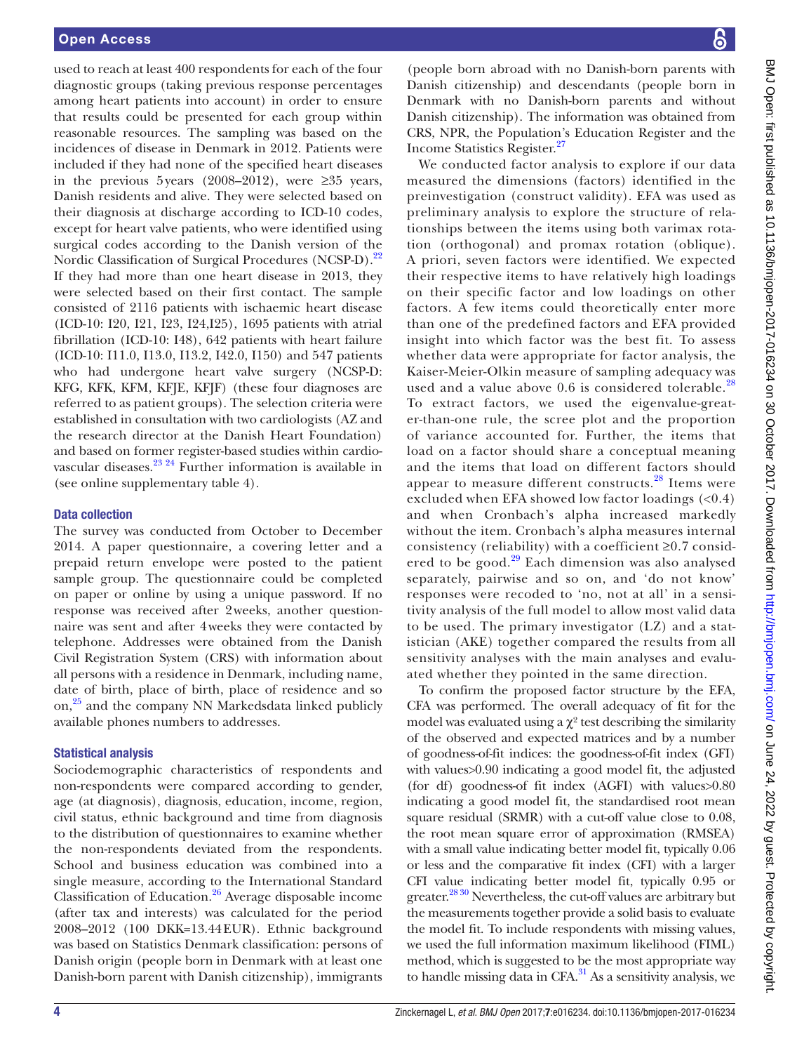used to reach at least 400 respondents for each of the four diagnostic groups (taking previous response percentages among heart patients into account) in order to ensure that results could be presented for each group within reasonable resources. The sampling was based on the incidences of disease in Denmark in 2012. Patients were included if they had none of the specified heart diseases in the previous 5years (2008–2012), were ≥35 years, Danish residents and alive. They were selected based on their diagnosis at discharge according to ICD-10 codes, except for heart valve patients, who were identified using surgical codes according to the Danish version of the Nordic Classification of Surgical Procedures (NCSP-D).<sup>22</sup> If they had more than one heart disease in 2013, they were selected based on their first contact. The sample consisted of 2116 patients with ischaemic heart disease (ICD-10: I20, I21, I23, I24,I25), 1695 patients with atrial fibrillation (ICD-10: I48), 642 patients with heart failure (ICD-10: I11.0, I13.0, I13.2, I42.0, I150) and 547 patients who had undergone heart valve surgery (NCSP-D: KFG, KFK, KFM, KFJE, KFJF) (these four diagnoses are referred to as patient groups). The selection criteria were established in consultation with two cardiologists (AZ and the research director at the Danish Heart Foundation) and based on former register-based studies within cardiovascular diseases[.23 24](#page-12-15) Further information is available in (see online [supplementary table 4](https://dx.doi.org/10.1136/bmjopen-2017-016234)).

## Data collection

The survey was conducted from October to December 2014. A paper questionnaire, a covering letter and a prepaid return envelope were posted to the patient sample group. The questionnaire could be completed on paper or online by using a unique password. If no response was received after 2weeks, another questionnaire was sent and after 4weeks they were contacted by telephone. Addresses were obtained from the Danish Civil Registration System (CRS) with information about all persons with a residence in Denmark, including name, date of birth, place of birth, place of residence and so on,<sup>25</sup> and the company NN Markedsdata linked publicly available phones numbers to addresses.

## Statistical analysis

Sociodemographic characteristics of respondents and non-respondents were compared according to gender, age (at diagnosis), diagnosis, education, income, region, civil status, ethnic background and time from diagnosis to the distribution of questionnaires to examine whether the non-respondents deviated from the respondents. School and business education was combined into a single measure, according to the International Standard Classification of Education.[26](#page-12-17) Average disposable income (after tax and interests) was calculated for the period 2008–2012 (100 DKK=13.44EUR). Ethnic background was based on Statistics Denmark classification: persons of Danish origin (people born in Denmark with at least one Danish-born parent with Danish citizenship), immigrants

(people born abroad with no Danish-born parents with Danish citizenship) and descendants (people born in Denmark with no Danish-born parents and without Danish citizenship). The information was obtained from CRS, NPR, the Population's Education Register and the Income Statistics Register.[27](#page-12-18)

We conducted factor analysis to explore if our data measured the dimensions (factors) identified in the preinvestigation (construct validity). EFA was used as preliminary analysis to explore the structure of relationships between the items using both varimax rotation (orthogonal) and promax rotation (oblique). A priori, seven factors were identified. We expected their respective items to have relatively high loadings on their specific factor and low loadings on other factors. A few items could theoretically enter more than one of the predefined factors and EFA provided insight into which factor was the best fit. To assess whether data were appropriate for factor analysis, the Kaiser-Meier-Olkin measure of sampling adequacy was used and a value above 0.6 is considered tolerable.<sup>[28](#page-12-19)</sup> To extract factors, we used the eigenvalue-greater-than-one rule, the scree plot and the proportion of variance accounted for. Further, the items that load on a factor should share a conceptual meaning and the items that load on different factors should appear to measure different constructs.<sup>[28](#page-12-19)</sup> Items were excluded when EFA showed low factor loadings  $\langle 0.4 \rangle$ and when Cronbach's alpha increased markedly without the item. Cronbach's alpha measures internal consistency (reliability) with a coefficient ≥0.7 considered to be good. $^{29}$  Each dimension was also analysed separately, pairwise and so on, and 'do not know' responses were recoded to 'no, not at all' in a sensitivity analysis of the full model to allow most valid data to be used. The primary investigator (LZ) and a statistician (AKE) together compared the results from all sensitivity analyses with the main analyses and evaluated whether they pointed in the same direction.

To confirm the proposed factor structure by the EFA, CFA was performed. The overall adequacy of fit for the model was evaluated using a  $\chi^2$  test describing the similarity of the observed and expected matrices and by a number of goodness-of-fit indices: the goodness-of-fit index (GFI) with values>0.90 indicating a good model fit, the adjusted (for df) goodness-of fit index (AGFI) with values>0.80 indicating a good model fit, the standardised root mean square residual (SRMR) with a cut-off value close to 0.08, the root mean square error of approximation (RMSEA) with a small value indicating better model fit, typically 0.06 or less and the comparative fit index (CFI) with a larger CFI value indicating better model fit, typically 0.95 or greater.<sup>28 30</sup> Nevertheless, the cut-off values are arbitrary but the measurements together provide a solid basis to evaluate the model fit. To include respondents with missing values, we used the full information maximum likelihood (FIML) method, which is suggested to be the most appropriate way to handle missing data in CFA. $31$  As a sensitivity analysis, we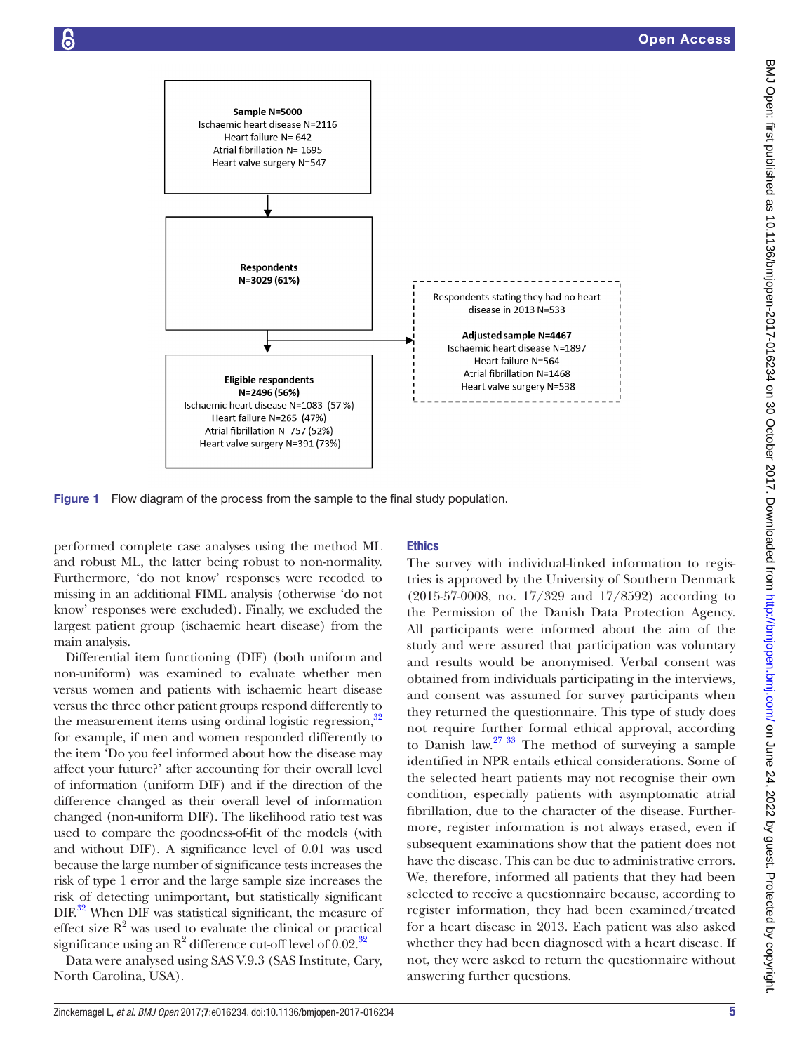

Figure 1 Flow diagram of the process from the sample to the final study population.

performed complete case analyses using the method ML and robust ML, the latter being robust to non-normality. Furthermore, 'do not know' responses were recoded to missing in an additional FIML analysis (otherwise 'do not know' responses were excluded). Finally, we excluded the largest patient group (ischaemic heart disease) from the main analysis.

Differential item functioning (DIF) (both uniform and non-uniform) was examined to evaluate whether men versus women and patients with ischaemic heart disease versus the three other patient groups respond differently to the measurement items using ordinal logistic regression,<sup>[32](#page-12-22)</sup> for example, if men and women responded differently to the item 'Do you feel informed about how the disease may affect your future?' after accounting for their overall level of information (uniform DIF) and if the direction of the difference changed as their overall level of information changed (non-uniform DIF). The likelihood ratio test was used to compare the goodness-of-fit of the models (with and without DIF). A significance level of 0.01 was used because the large number of significance tests increases the risk of type 1 error and the large sample size increases the risk of detecting unimportant, but statistically significant DIF.<sup>32</sup> When DIF was statistical significant, the measure of effect size  $R^2$  was used to evaluate the clinical or practical significance using an  $\mathbb{R}^2$  difference cut-off level of  $0.02$ .<sup>32</sup>

Data were analysed using SAS V.9.3 (SAS Institute, Cary, North Carolina, USA).

# <span id="page-4-0"></span>Ethics

The survey with individual-linked information to registries is approved by the University of Southern Denmark (2015-57-0008, no. 17/329 and 17/8592) according to the Permission of the Danish Data Protection Agency. All participants were informed about the aim of the study and were assured that participation was voluntary and results would be anonymised. Verbal consent was obtained from individuals participating in the interviews, and consent was assumed for survey participants when they returned the questionnaire. This type of study does not require further formal ethical approval, according to Danish law.<sup>27 33</sup> The method of surveying a sample identified in NPR entails ethical considerations. Some of the selected heart patients may not recognise their own condition, especially patients with asymptomatic atrial fibrillation, due to the character of the disease. Furthermore, register information is not always erased, even if subsequent examinations show that the patient does not have the disease. This can be due to administrative errors. We, therefore, informed all patients that they had been selected to receive a questionnaire because, according to register information, they had been examined/treated for a heart disease in 2013. Each patient was also asked whether they had been diagnosed with a heart disease. If not, they were asked to return the questionnaire without answering further questions.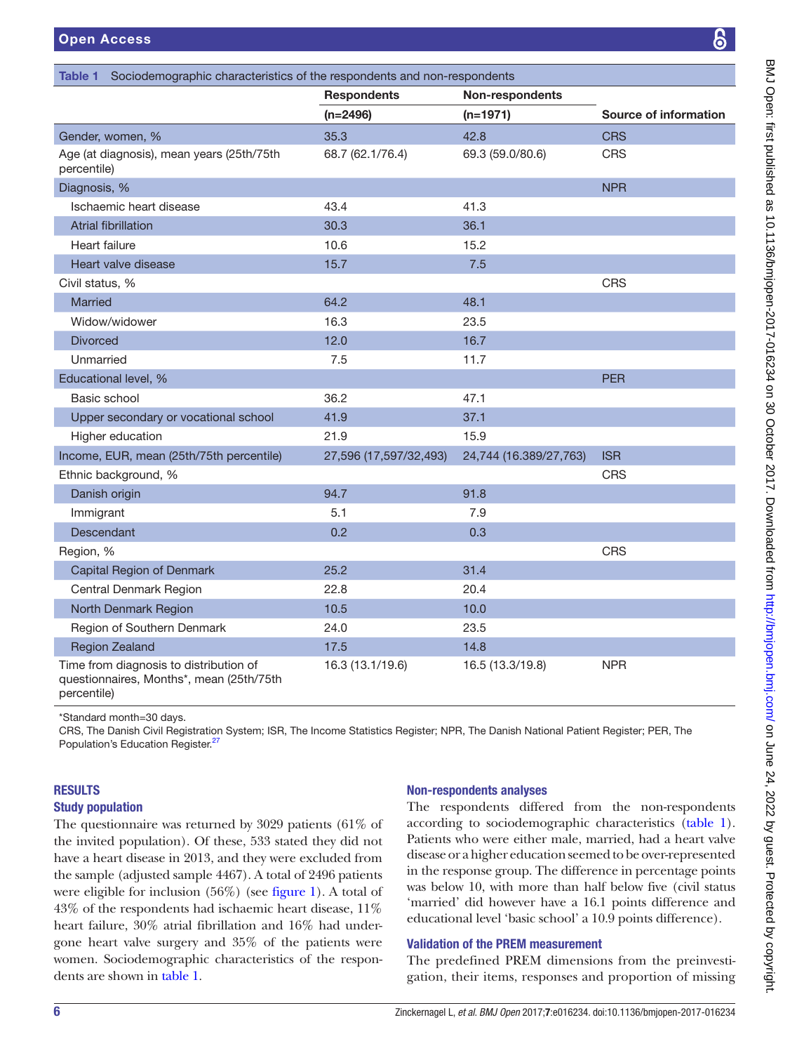<span id="page-5-0"></span>

| <b>Open Access</b>                                                                                                                             |                        |                        | ö                            |
|------------------------------------------------------------------------------------------------------------------------------------------------|------------------------|------------------------|------------------------------|
| Sociodemographic characteristics of the respondents and non-respondents<br><b>Table 1</b>                                                      |                        |                        |                              |
|                                                                                                                                                | <b>Respondents</b>     | Non-respondents        |                              |
|                                                                                                                                                | $(n=2496)$             | $(n=1971)$             | <b>Source of information</b> |
| Gender, women, %                                                                                                                               | 35.3                   | 42.8                   | <b>CRS</b>                   |
| Age (at diagnosis), mean years (25th/75th<br>percentile)                                                                                       | 68.7 (62.1/76.4)       | 69.3 (59.0/80.6)       | <b>CRS</b>                   |
| Diagnosis, %                                                                                                                                   |                        |                        | <b>NPR</b>                   |
| Ischaemic heart disease                                                                                                                        | 43.4                   | 41.3                   |                              |
| <b>Atrial fibrillation</b>                                                                                                                     | 30.3                   | 36.1                   |                              |
| <b>Heart failure</b>                                                                                                                           | 10.6                   | 15.2                   |                              |
| Heart valve disease                                                                                                                            | 15.7                   | 7.5                    |                              |
| Civil status, %                                                                                                                                |                        |                        | <b>CRS</b>                   |
| Married                                                                                                                                        | 64.2                   | 48.1                   |                              |
| Widow/widower                                                                                                                                  | 16.3                   | 23.5                   |                              |
| <b>Divorced</b>                                                                                                                                | 12.0                   | 16.7                   |                              |
| Unmarried                                                                                                                                      | 7.5                    | 11.7                   |                              |
| Educational level, %                                                                                                                           |                        |                        | <b>PER</b>                   |
| Basic school                                                                                                                                   | 36.2                   | 47.1                   |                              |
| Upper secondary or vocational school                                                                                                           | 41.9                   | 37.1                   |                              |
| Higher education                                                                                                                               | 21.9                   | 15.9                   |                              |
| Income, EUR, mean (25th/75th percentile)                                                                                                       | 27,596 (17,597/32,493) | 24,744 (16.389/27,763) | <b>ISR</b>                   |
| Ethnic background, %                                                                                                                           |                        |                        | <b>CRS</b>                   |
| Danish origin                                                                                                                                  | 94.7                   | 91.8                   |                              |
| Immigrant                                                                                                                                      | 5.1                    | 7.9                    |                              |
| <b>Descendant</b>                                                                                                                              | 0.2                    | 0.3                    |                              |
| Region, %                                                                                                                                      |                        |                        | <b>CRS</b>                   |
| Capital Region of Denmark                                                                                                                      | 25.2                   | 31.4                   |                              |
| Central Denmark Region                                                                                                                         | 22.8                   | 20.4                   |                              |
| North Denmark Region                                                                                                                           | 10.5                   | 10.0                   |                              |
| Region of Southern Denmark                                                                                                                     | 24.0                   | 23.5                   |                              |
| <b>Region Zealand</b>                                                                                                                          | 17.5                   | 14.8                   |                              |
| Time from diagnosis to distribution of<br>$\mathbf{A}$ , and $\mathbf{A}$ , and $\mathbf{A}$ are set to $\mathbf{A}$ . The set of $\mathbf{A}$ | 16.3 (13.1/19.6)       | 16.5 (13.3/19.8)       | <b>NPR</b>                   |

questionnaires, Months\*, mean (25th/75th

percentile)

\*Standard month=30 days.

CRS, The Danish Civil Registration System; ISR, The Income Statistics Register; NPR, The Danish National Patient Register; PER, The Population's Education Register.<sup>27</sup>

# **RESULTS**

# Study population

The questionnaire was returned by 3029 patients (61% of the invited population). Of these, 533 stated they did not have a heart disease in 2013, and they were excluded from the sample (adjusted sample 4467). A total of 2496 patients were eligible for inclusion (56%) (see [figure](#page-4-0) 1). A total of 43% of the respondents had ischaemic heart disease, 11% heart failure, 30% atrial fibrillation and 16% had undergone heart valve surgery and 35% of the patients were women. Sociodemographic characteristics of the respondents are shown in [table](#page-5-0) 1.

# Non-respondents analyses

The respondents differed from the non-respondents according to sociodemographic characteristics ([table](#page-5-0) 1). Patients who were either male, married, had a heart valve disease or a higher education seemed to be over-represented in the response group. The difference in percentage points was below 10, with more than half below five (civil status 'married' did however have a 16.1 points difference and educational level 'basic school' a 10.9 points difference).

# Validation of the PREM measurement

The predefined PREM dimensions from the preinvestigation, their items, responses and proportion of missing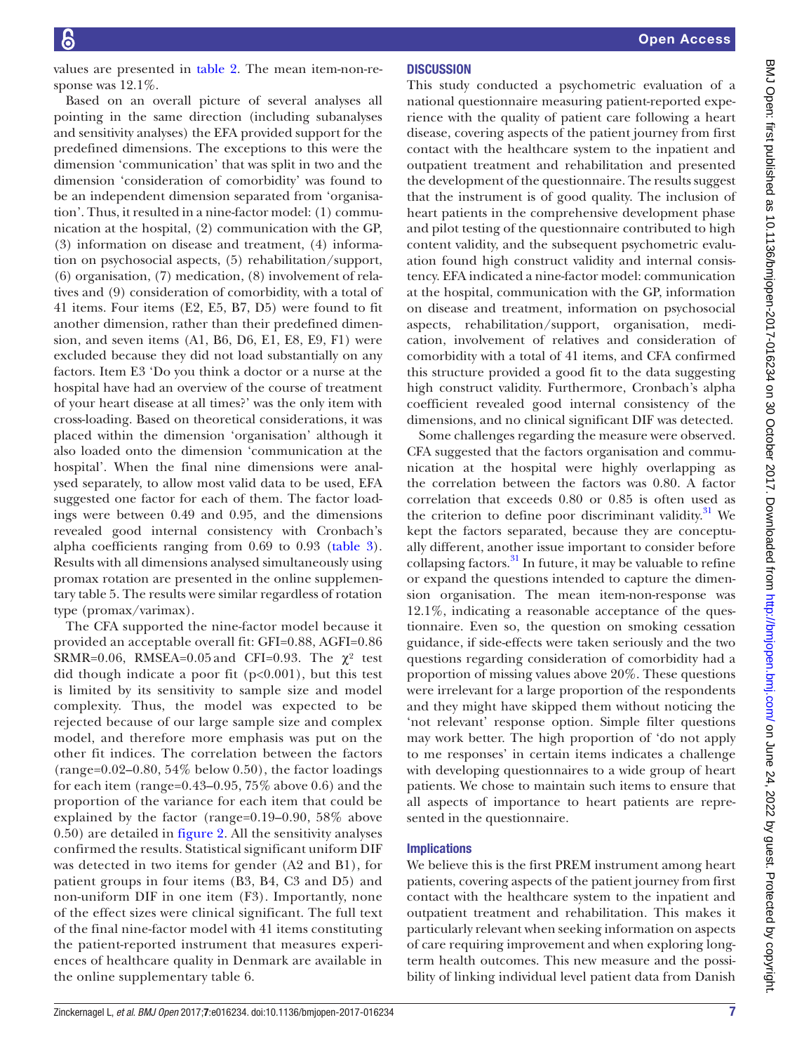values are presented in [table](#page-7-0) 2. The mean item-non-response was 12.1%.

Based on an overall picture of several analyses all pointing in the same direction (including subanalyses and sensitivity analyses) the EFA provided support for the predefined dimensions. The exceptions to this were the dimension 'communication' that was split in two and the dimension 'consideration of comorbidity' was found to be an independent dimension separated from 'organisation'. Thus, it resulted in a nine-factor model: (1) communication at the hospital, (2) communication with the GP, (3) information on disease and treatment, (4) information on psychosocial aspects, (5) rehabilitation/support, (6) organisation, (7) medication, (8) involvement of relatives and (9) consideration of comorbidity, with a total of 41 items. Four items (E2, E5, B7, D5) were found to fit another dimension, rather than their predefined dimension, and seven items (A1, B6, D6, E1, E8, E9, F1) were excluded because they did not load substantially on any factors. Item E3 'Do you think a doctor or a nurse at the hospital have had an overview of the course of treatment of your heart disease at all times?' was the only item with cross-loading. Based on theoretical considerations, it was placed within the dimension 'organisation' although it also loaded onto the dimension 'communication at the hospital'. When the final nine dimensions were analysed separately, to allow most valid data to be used, EFA suggested one factor for each of them. The factor loadings were between 0.49 and 0.95, and the dimensions revealed good internal consistency with Cronbach's alpha coefficients ranging from 0.69 to 0.93 [\(table](#page-9-0) 3). Results with all dimensions analysed simultaneously using promax rotation are presented in the online [supplemen](https://dx.doi.org/10.1136/bmjopen-2017-016234)[tary table 5.](https://dx.doi.org/10.1136/bmjopen-2017-016234) The results were similar regardless of rotation type (promax/varimax).

The CFA supported the nine-factor model because it provided an acceptable overall fit: GFI=0.88, AGFI=0.86 SRMR=0.06, RMSEA=0.05 and CFI=0.93. The  $\chi^2$  test did though indicate a poor fit  $(p<0.001)$ , but this test is limited by its sensitivity to sample size and model complexity. Thus, the model was expected to be rejected because of our large sample size and complex model, and therefore more emphasis was put on the other fit indices. The correlation between the factors (range=0.02–0.80, 54% below 0.50), the factor loadings for each item (range=0.43–0.95, 75% above 0.6) and the proportion of the variance for each item that could be explained by the factor (range=0.19–0.90, 58% above 0.50) are detailed in [figure](#page-10-0) 2. All the sensitivity analyses confirmed the results. Statistical significant uniform DIF was detected in two items for gender (A2 and B1), for patient groups in four items (B3, B4, C3 and D5) and non-uniform DIF in one item (F3). Importantly, none of the effect sizes were clinical significant. The full text of the final nine-factor model with 41 items constituting the patient-reported instrument that measures experiences of healthcare quality in Denmark are available in the online [supplementary table 6](https://dx.doi.org/10.1136/bmjopen-2017-016234).

## **DISCUSSION**

This study conducted a psychometric evaluation of a national questionnaire measuring patient-reported experience with the quality of patient care following a heart disease, covering aspects of the patient journey from first contact with the healthcare system to the inpatient and outpatient treatment and rehabilitation and presented the development of the questionnaire. The results suggest that the instrument is of good quality. The inclusion of heart patients in the comprehensive development phase and pilot testing of the questionnaire contributed to high content validity, and the subsequent psychometric evaluation found high construct validity and internal consistency. EFA indicated a nine-factor model: communication at the hospital, communication with the GP, information on disease and treatment, information on psychosocial aspects, rehabilitation/support, organisation, medication, involvement of relatives and consideration of comorbidity with a total of 41 items, and CFA confirmed this structure provided a good fit to the data suggesting high construct validity. Furthermore, Cronbach's alpha coefficient revealed good internal consistency of the dimensions, and no clinical significant DIF was detected.

Some challenges regarding the measure were observed. CFA suggested that the factors organisation and communication at the hospital were highly overlapping as the correlation between the factors was 0.80. A factor correlation that exceeds 0.80 or 0.85 is often used as the criterion to define poor discriminant validity.<sup>31</sup> We kept the factors separated, because they are conceptually different, another issue important to consider before collapsing factors. $31$  In future, it may be valuable to refine or expand the questions intended to capture the dimension organisation. The mean item-non-response was 12.1%, indicating a reasonable acceptance of the questionnaire. Even so, the question on smoking cessation guidance, if side-effects were taken seriously and the two questions regarding consideration of comorbidity had a proportion of missing values above 20%. These questions were irrelevant for a large proportion of the respondents and they might have skipped them without noticing the 'not relevant' response option. Simple filter questions may work better. The high proportion of 'do not apply to me responses' in certain items indicates a challenge with developing questionnaires to a wide group of heart patients. We chose to maintain such items to ensure that all aspects of importance to heart patients are represented in the questionnaire.

## Implications

We believe this is the first PREM instrument among heart patients, covering aspects of the patient journey from first contact with the healthcare system to the inpatient and outpatient treatment and rehabilitation. This makes it particularly relevant when seeking information on aspects of care requiring improvement and when exploring longterm health outcomes. This new measure and the possibility of linking individual level patient data from Danish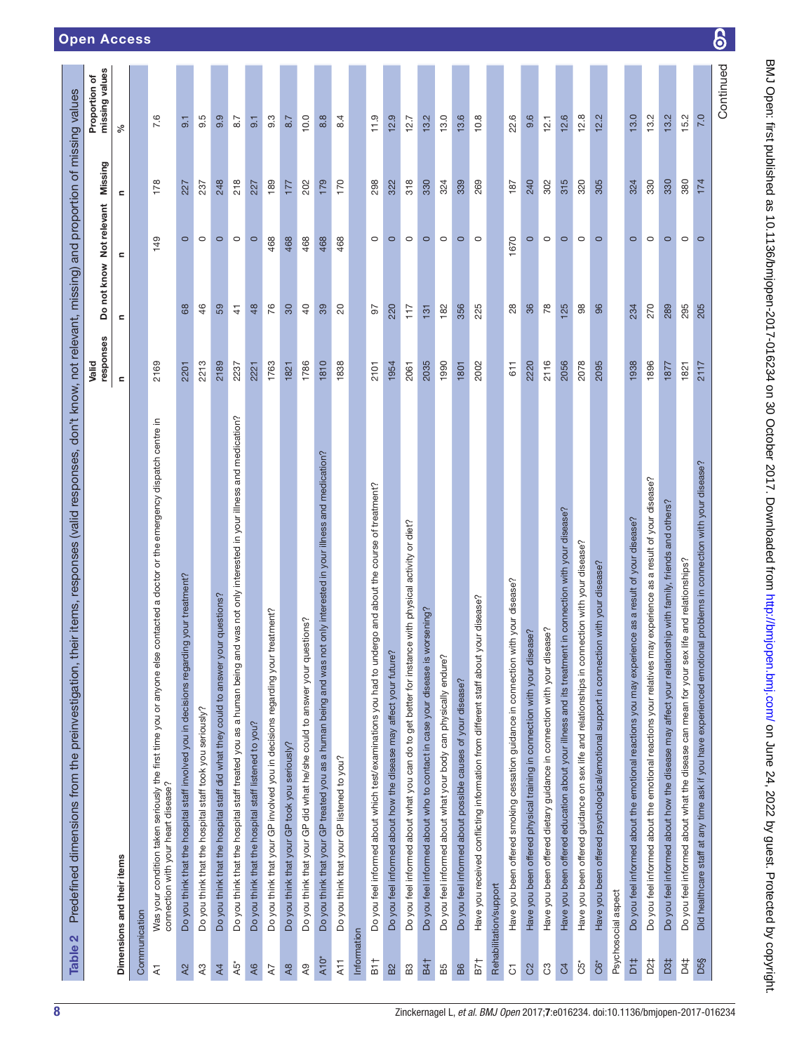<span id="page-7-0"></span>

| $\mathbf{a}$<br><b>Table</b> | eir items, responses (valid responses, don't know, not relevant, missing) and proportion of missing values<br>Predefined dimensions from the preinvestigation, th     |                    |                 |                          |              |                                 |
|------------------------------|-----------------------------------------------------------------------------------------------------------------------------------------------------------------------|--------------------|-----------------|--------------------------|--------------|---------------------------------|
|                              |                                                                                                                                                                       | responses<br>Valid |                 | Do not know Not relevant | Missing      | missing values<br>Proportion of |
|                              | Dimensions and their items                                                                                                                                            | $\blacksquare$     | $\mathbf{C}$    | $\mathbf{C}$             | $\mathbf{C}$ | వి                              |
| Communication                |                                                                                                                                                                       |                    |                 |                          |              |                                 |
| $\overline{\mathbf{A}}$      | contacted a doctor or the emergency dispatch centre in<br>Was your condition taken seriously the first time you or anyone else<br>connection with your heart disease? | 2169               |                 | 149                      | 178          | 7.6                             |
| $\lambda$                    | ng your treatment?<br>Do you think that the hospital staff involved you in decisions regardin                                                                         | 2201               | 68              | $\circ$                  | 227          | $\overline{9}$ .                |
| $\approx$                    | Do you think that the hospital staff took you seriously?                                                                                                              | 2213               | 46              | $\circ$                  | 237          | rÙ.<br>တ                        |
| A                            | Do you think that the hospital staff did what they could to answer your questions?                                                                                    | 2189               | 59              | $\circ$                  | 248          | 9.9                             |
| $\mathsf{A}5^*$              | Do you think that the hospital staff treated you as a human being and was not only interested in your illness and medication?                                         | 2237               | 4               | $\circ$                  | 218          | 8.7                             |
| AC                           | Do you think that the hospital staff listened to you?                                                                                                                 | 2221               | 48              | $\circ$                  | 227          | $\overline{9}$ .                |
| $\overline{A}$               | Do you think that your GP involved you in decisions regarding your treatment?                                                                                         | 1763               | 76              | 468                      | 189          | 9.3                             |
| A8                           | Do you think that your GP took you seriously?                                                                                                                         | 1821               | ႙               | 468                      | 177          | $\overline{8.7}$                |
| $\mathsf{A}^{\mathsf{G}}$    | Do you think that your GP did what he/she could to answer your questions?                                                                                             | 1786               | $\overline{4}$  | 468                      | 202          | 10.0                            |
| $A10$ <sup>*</sup>           | Do you think that your GP treated you as a human being and was not only interested in your illness and medication?                                                    | 1810               | 89              | 468                      | 179          | 8.8                             |
| A11                          | Do you think that your GP listened to you?                                                                                                                            | 1838               | 20              | 468                      | 170          | 8.4                             |
| Information                  |                                                                                                                                                                       |                    |                 |                          |              |                                 |
| $B+$                         | Do you feel informed about which test/examinations you had to undergo and about the course of treatment?                                                              | 2101               | 5               | $\circ$                  | 298          | 11.9                            |
| $_{\rm B2}$                  | Do you feel informed about how the disease may affect your future?                                                                                                    | 1954               | 220             | $\circ$                  | 322          | 12.9                            |
| B3                           | Do you feel informed about what you can do to get better for instance with physical activity or diet?                                                                 | 2061               | 117             | $\circ$                  | 318          | 12.7                            |
| B4                           | Do you feel informed about who to contact in case your disease is worsening?                                                                                          | 2035               | $\frac{131}{2}$ | $\circ$                  | 330          | 13.2                            |
| B5                           | Do you feel informed about what your body can physically endure?                                                                                                      | 1990               | 182             | $\circ$                  | 324          | 13.0                            |
| BG                           | Do you feel informed about possible causes of your disease?                                                                                                           | 1801               | 356             | $\circ$                  | 339          | 13.6                            |
| $B7+$                        | our disease?<br>Have you received conflicting information from different staff about y                                                                                | 2002               | 225             | $\circ$                  | 269          | 10.8                            |
|                              | Rehabilitation/support                                                                                                                                                |                    |                 |                          |              |                                 |
| $\overline{\circ}$           | Have you been offered smoking cessation guidance in connection with your disease?                                                                                     | 611                | 28              | 1670                     | 187          | 22.6                            |
| SS                           | Have you been offered physical training in connection with your disease?                                                                                              | 2220               | 36              | $\circ$                  | 240          | 9.6                             |
| පී                           | Have you been offered dietary guidance in connection with your disease?                                                                                               | 2116               | $78$            | $\circ$                  | 302          | 12.1                            |
| $\mathfrak{S}$               | Have you been offered education about your illness and its treatment in connection with your disease?                                                                 | 2056               | 125             | $\circ$                  | 315          | 12.6                            |
| Ċ5*                          | Have you been offered guidance on sex life and relationships in connection with your disease?                                                                         | 2078               | 98              | $\circ$                  | 320          | 12.8                            |
| Ġ°                           | Have you been offered psychological/emotional support in connection with your disease?                                                                                | 2095               | 96              | $\circ$                  | 305          | 12.2                            |
|                              | Psychosocial aspect                                                                                                                                                   |                    |                 |                          |              |                                 |
| D <sub>1‡</sub>              | Do you feel informed about the emotional reactions you may experience as a result of your disease?                                                                    | 1938               | 234             | $\circ$                  | 324          | 13.0                            |
| D <sub>2‡</sub>              | Do you feel informed about the emotional reactions your relatives may experience as a result of your disease?                                                         | 1896               | 270             | $\circ$                  | 330          | 13.2                            |
| D <sub>3‡</sub>              | Do you feel informed about how the disease may affect your relationship with family, friends and others?                                                              | 1877               | 289             | $\circ$                  | 330          | 13.2                            |
| D4‡                          | life and relationships?<br>Do you feel informed about what the disease can mean for your sex                                                                          | 1821               | 295             | $\circ$                  | 380          | 15.2                            |
| D <sub>5</sub> §             | Did healthcare staff at any time ask if you have experienced emotional problems in connection with your disease?                                                      | 2117               | 205             | $\circ$                  | 174          | 7.0                             |
|                              |                                                                                                                                                                       |                    |                 |                          |              | Continued                       |

BMJ Open: first published as 10.1136/bmjopen-2017-016234 on 30 October 2017. Downloaded from <http://bmjopen.bmj.com/> on June 24, 2022 by guest. Protected by copyright.

BMJ Open: first published as 10.1136/bmjopen-2017-016234 on 30 October 2017. Downloaded from http://bmjopen.bmj.com/ on June 24, 2022 by guest. Protected by copyright.

 $\delta$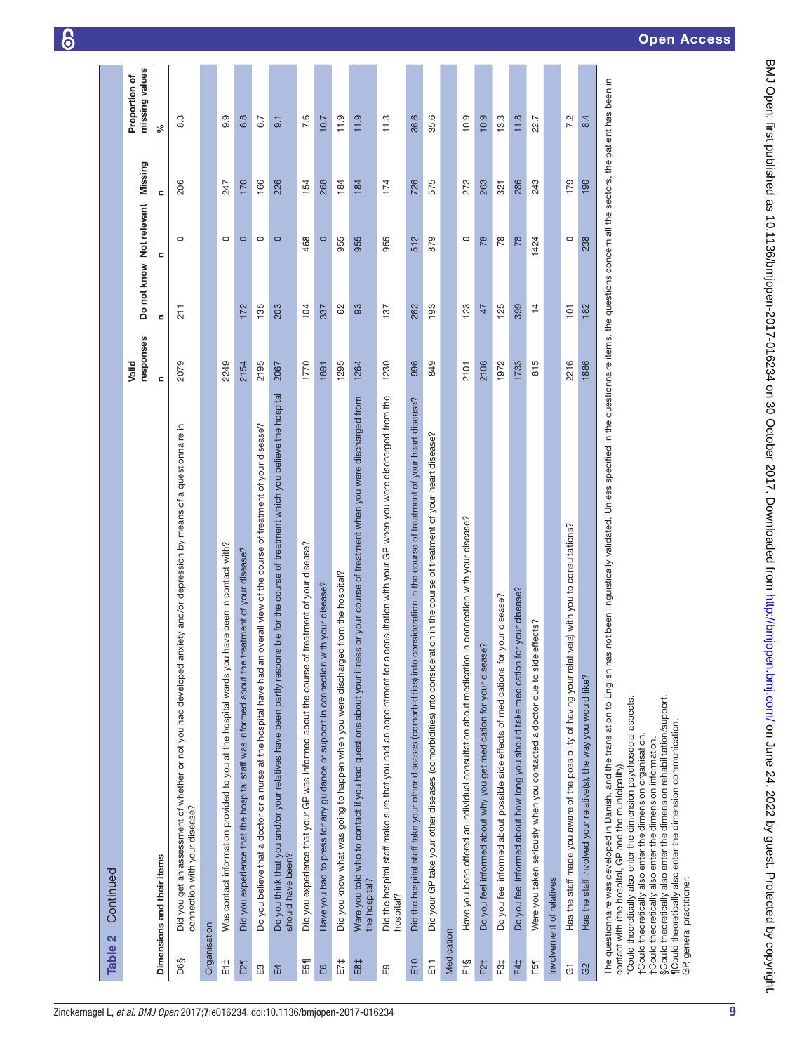| Table 2                    | Continued                                                                                                                                                                                                                                                                                                                                                   |                    |                |                          |              |                                 |
|----------------------------|-------------------------------------------------------------------------------------------------------------------------------------------------------------------------------------------------------------------------------------------------------------------------------------------------------------------------------------------------------------|--------------------|----------------|--------------------------|--------------|---------------------------------|
|                            |                                                                                                                                                                                                                                                                                                                                                             | responses<br>Valid |                | Do not know Not relevant | Missing      | missing values<br>Proportion of |
|                            | Dimensions and their items                                                                                                                                                                                                                                                                                                                                  | $\epsilon$         | $\mathbf{r}$   | Ξ                        | $\mathbf{r}$ | ್ಗೆ                             |
| D6§                        | anxiety and/or depression by means of a questionnaire in<br>Did you get an assessment of whether or not you had developed<br>connection with your disease?                                                                                                                                                                                                  | 2079               | 211            | $\circ$                  | 206          | 8.3                             |
| Organisation               |                                                                                                                                                                                                                                                                                                                                                             |                    |                |                          |              |                                 |
| E1#                        | Was contact information provided to you at the hospital wards you have been in contact with?                                                                                                                                                                                                                                                                | 2249               |                | $\circ$                  | 247          | 9.9                             |
| E2¶                        | Did you experience that the hospital staff was informed about the treatment of your disease?                                                                                                                                                                                                                                                                | 2154               | 172            | $\circ$                  | 170          | 6.8                             |
| $\mathbb{E}^3$             | Do you believe that a doctor or a nurse at the hospital have had an overall view of the course of treatment of your disease?                                                                                                                                                                                                                                | 2195               | 135            | $\circ$                  | 166          | 6.7                             |
| $E_4$                      | Do you think that you and/or your relatives have been partly responsible for the course of treatment which you believe the hospital<br>should have been?                                                                                                                                                                                                    | 2067               | 203            | $\circ$                  | 226          | $\overline{9}$ .                |
| E5¶                        | of treatment of your disease?<br>Did you experience that your GP was informed about the course                                                                                                                                                                                                                                                              | 1770               | 104            | 468                      | 154          | 7.6                             |
| E6                         | with your disease?<br>Have you had to press for any guidance or support in connection                                                                                                                                                                                                                                                                       | 1891               | 337            | $\circ$                  | 268          | 10.7                            |
| E7‡                        | Did you know what was going to happen when you were discharged from the hospital?                                                                                                                                                                                                                                                                           | 1295               | 8              | 955                      | 184          | 11.9                            |
| E8‡                        | ess or your course of treatment when you were discharged from<br>Were you told who to contact if you had questions about your illn<br>the hospital?                                                                                                                                                                                                         | 1264               | 93             | 955                      | 184          | 11.9                            |
| $\Xi$                      | a consultation with your GP when you were discharged from the<br>Did the hospital staff make sure that you had an appointment for<br>hospital?                                                                                                                                                                                                              | 1230               | 137            | 955                      | 174          | 11.3                            |
| E10                        | consideration in the course of treatment of your heart disease?<br>Did the hospital staff take your other diseases (comorbidities) into                                                                                                                                                                                                                     | 996                | 262            | 512                      | 726          | 36.6                            |
| $\overleftarrow{\text{E}}$ | Did your GP take your other diseases (comorbidities) into consideration in the course of treatment of your heart disease?                                                                                                                                                                                                                                   | 849                | 193            | 879                      | 575          | 35.6                            |
| Medication                 |                                                                                                                                                                                                                                                                                                                                                             |                    |                |                          |              |                                 |
| F <sub>1</sub> §           | Have you been offered an individual consultation about medication in connection with your disease?                                                                                                                                                                                                                                                          | 2101               | 123            | $\circ$                  | 272          | 10.9                            |
| F2‡                        | Do you feel informed about why you get medication for your disease?                                                                                                                                                                                                                                                                                         | 2108               | 47             | 78                       | 263          | 10.9                            |
| F3#                        | Do you feel informed about possible side effects of medications for your disease?                                                                                                                                                                                                                                                                           | 1972               | 125            | $\frac{8}{2}$            | 321          | 13.3                            |
| F4‡                        | for your disease?<br>Do you feel informed about how long you should take medication                                                                                                                                                                                                                                                                         | 1733               | 399            | $\overline{78}$          | 286          | 11.8                            |
| F5¶                        | le effects?<br>Were you taken seriously when you contacted a doctor due to sid                                                                                                                                                                                                                                                                              | 815                | $\overline{4}$ | 1424                     | 243          | 22.7                            |
|                            | Involvement of relatives                                                                                                                                                                                                                                                                                                                                    |                    |                |                          |              |                                 |
| $\rm\overline{G}$          | ative(s) with you to consultations?<br>Has the staff made you aware of the possibility of having your reli                                                                                                                                                                                                                                                  | 2216               | $\overline{5}$ | $\circ$                  | 179          | 7.2                             |
| G <sub>2</sub>             | Has the staff involved your relative(s), the way you would like?                                                                                                                                                                                                                                                                                            | 1886               | 182            | 238                      | 190          | 8.4                             |
|                            | The questionnaire was developed in Danish, and the translation to English has not been linguistically validated. Unless specified in the questionnaire items, the questions concern all the sectors, the patient has been in<br>"Could theoretically also enter the dimension psychosocial aspects<br>contact with (the hospital, GP and the municipality). |                    |                |                          |              |                                 |

†Could theoretically also enter the dimension organisation.

‡Could theoretically also enter the dimension information.

§Could theoretically also enter the dimension rehabilitation/support.

†Could theoretically also enter the dimension organisation.<br>‡Could theoretically also enter the dimension information.<br>§Could theoretically also enter the dimension rehabilitation/support.<br>¶Could theoretically also enter t ¶Could theoretically also enter the dimension communication.

GP, general practitioner.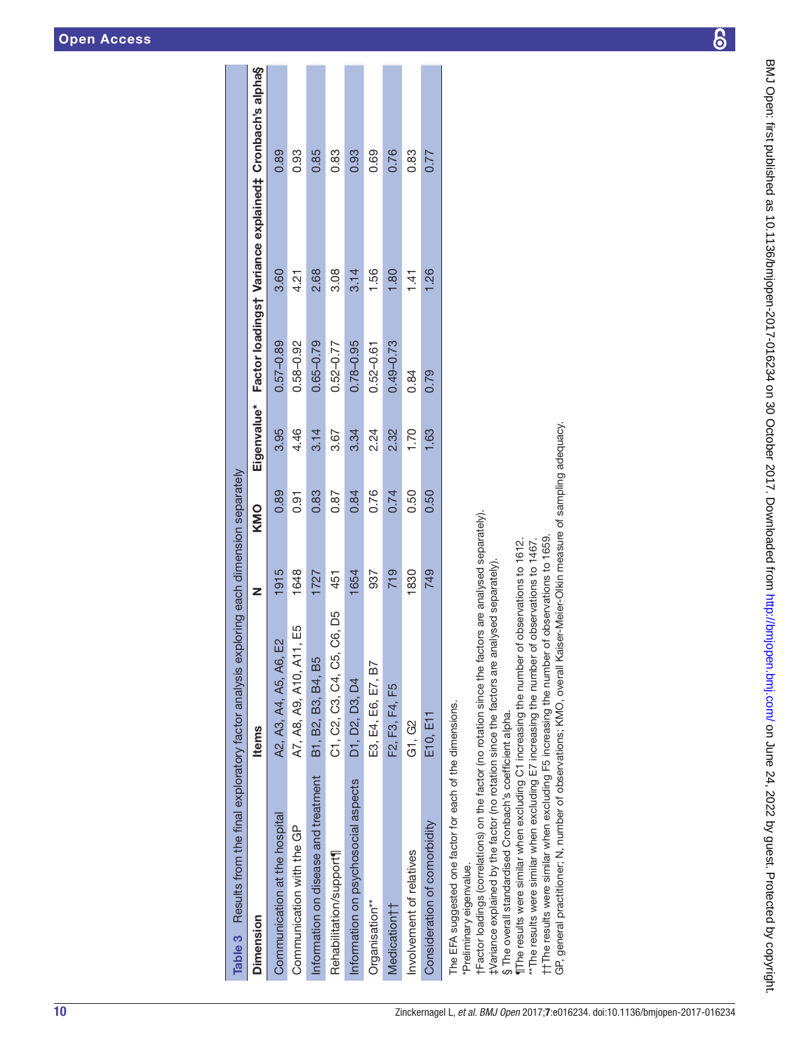| Table 3 Results from the final exploratory factor analysis |                            | exploring each dimension separately |      |      |               |      |                                                                    |
|------------------------------------------------------------|----------------------------|-------------------------------------|------|------|---------------|------|--------------------------------------------------------------------|
| <b>Dimension</b>                                           | <b>Items</b>               | z                                   | KMO  |      |               |      | Eigenvalue* Factor loadings† Variance explained‡ Cronbach's alpha§ |
| Communication at the hospital                              | A2, A3, A4, A5, A6, E2     | 1915                                | 0.89 | 3.95 | $0.57 - 0.89$ | 3.60 | 0.89                                                               |
| Communication with the GP                                  | A7, A8, A9, A10, A11, E5   | 1648                                | 0.91 | 4.46 | $0.58 - 0.92$ | 4.21 | 0.93                                                               |
| Information on disease and treatment                       | B1, B2, B3, B4, B5         | 1727                                | 0.83 | 3.14 | $0.65 - 0.79$ | 2.68 | 0.85                                                               |
| Rehabilitation/support                                     | C1, C2, C3, C4, C5, C6, D5 | 451                                 | 0.87 | 3.67 | $0.52 - 0.77$ | 3.08 | 0.83                                                               |
| Information on psychosocial aspects                        | D1, D2, D3, D4             | 1654                                | 0.84 | 3.34 | $0.78 - 0.95$ | 3.14 | 0.93                                                               |
| Organisation**                                             | E3, E4, E6, E7, B7         | 937                                 | 0.76 | 2.24 | $0.52 - 0.61$ | 1.56 | 0.69                                                               |
| Medication <sup>†</sup>                                    | F2, F3, F4, F5             | 719                                 | 0.74 | 2.32 | $0.49 - 0.73$ | 1.80 | 0.76                                                               |
| Involvement of relatives                                   | G1, G2                     | 1830                                | 0.50 | 1.70 | 0.84          | 141  | 0.83                                                               |
| Consideration of comorbidity                               | E10, E11                   | 749                                 | 0.50 | 1.63 | 0.79          | 1.26 | 0.77                                                               |
| The EEA sungeted one factor for each of the dimensions     |                            |                                     |      |      |               |      |                                                                    |

The EFA suggested one factor for each of the dimensions. Ine LLA suggested one

<span id="page-9-0"></span>Preliminary eigenvalue. \*Preliminary eigenvalue.

Factor loadings (correlations) on the factor (no rotation since the factors are analysed separately). †Factor loadings (correlations) on the factor (no rotation since the factors are analysed separately).

#Variance explained by the factor (no rotation since the factors are analysed separately). ‡Variance explained by the factor (no rotation since the factors are analysed separately).

§ The overall standardised Cronbach's coefficient alpha. § The overall standardised Cronbach's coefficient alpha.

The results were similar when excluding C1 increasing the number of observations to 1612. ¶The results were similar when excluding C1 increasing the number of observations to 1612.

\*\*The results were similar when excluding E7 increasing the number of observations to 1467. \*\*The results were similar when excluding E7 increasing the number of observations to 1467.

ttThe results were similar when excluding F5 increasing the number of observations to 1659. ††The results were similar when excluding F5 increasing the number of observations to 1659.

GP, general practitioner; N, number of observations; KMO, overall Kaiser-Meier-Olkin measure of sampling adequacy. GP, general practitioner; N, number of observations; KMO, overall Kaiser-Meier-Olkin measure of sampling adequacy.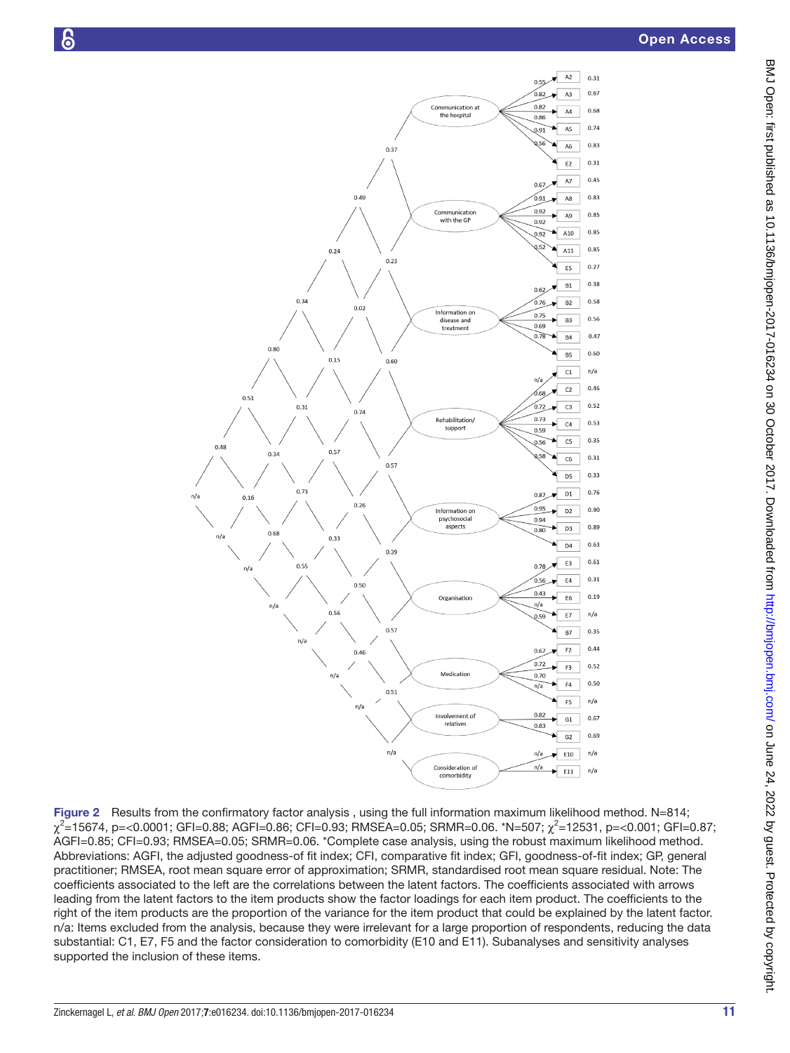



<span id="page-10-0"></span>Figure 2 Results from the confirmatory factor analysis , using the full information maximum likelihood method. N=814;  $\chi^2$ =15674, p=<0.0001; GFI=0.88; AGFI=0.86; CFI=0.93; RMSEA=0.05; SRMR=0.06. \*N=507;  $\chi^2$ =12531, p=<0.001; GFI=0.87; AGFI=0.85; CFI=0.93; RMSEA=0.05; SRMR=0.06. \*Complete case analysis, using the robust maximum likelihood method. Abbreviations: AGFI, the adjusted goodness-of fit index; CFI, comparative fit index; GFI, goodness-of-fit index; GP, general practitioner; RMSEA, root mean square error of approximation; SRMR, standardised root mean square residual. Note: The coefficients associated to the left are the correlations between the latent factors. The coefficients associated with arrows leading from the latent factors to the item products show the factor loadings for each item product. The coefficients to the right of the item products are the proportion of the variance for the item product that could be explained by the latent factor. n/a: Items excluded from the analysis, because they were irrelevant for a large proportion of respondents, reducing the data substantial: C1, E7, F5 and the factor consideration to comorbidity (E10 and E11). Subanalyses and sensitivity analyses supported the inclusion of these items.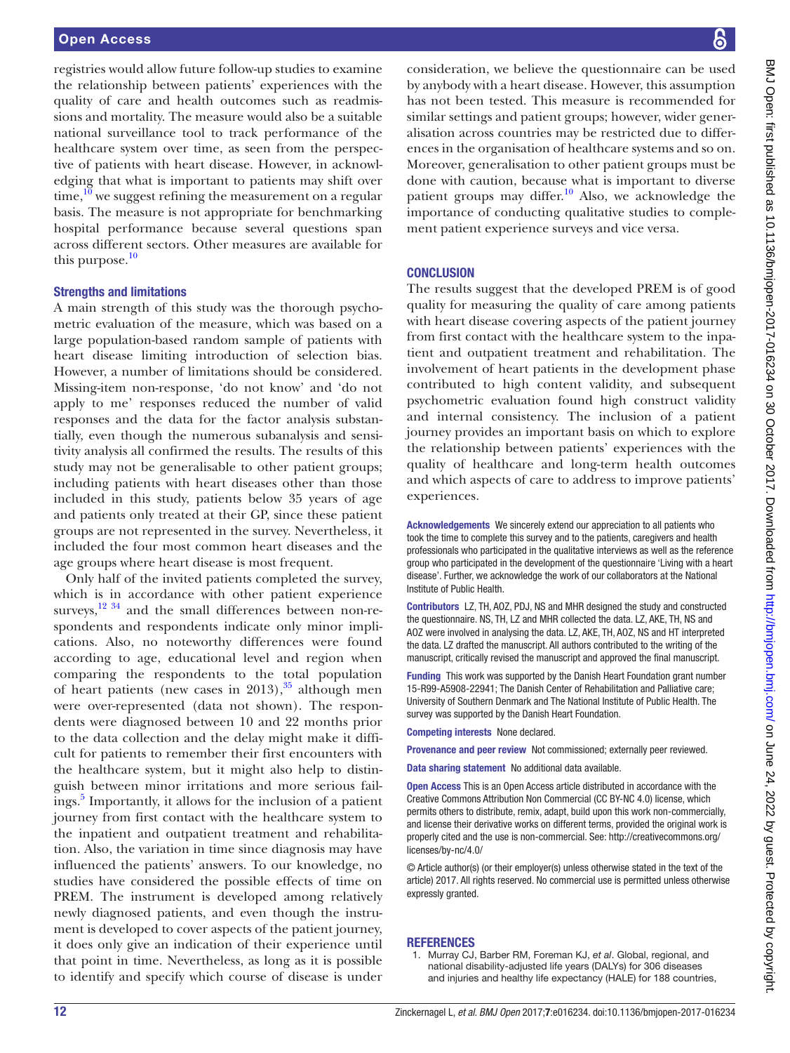# Open Access

registries would allow future follow-up studies to examine the relationship between patients' experiences with the quality of care and health outcomes such as readmissions and mortality. The measure would also be a suitable national surveillance tool to track performance of the healthcare system over time, as seen from the perspective of patients with heart disease. However, in acknowledging that what is important to patients may shift over time, $10$  we suggest refining the measurement on a regular basis. The measure is not appropriate for benchmarking hospital performance because several questions span across different sectors. Other measures are available for this purpose. $10$ 

#### Strengths and limitations

A main strength of this study was the thorough psychometric evaluation of the measure, which was based on a large population-based random sample of patients with heart disease limiting introduction of selection bias. However, a number of limitations should be considered. Missing-item non-response, 'do not know' and 'do not apply to me' responses reduced the number of valid responses and the data for the factor analysis substantially, even though the numerous subanalysis and sensitivity analysis all confirmed the results. The results of this study may not be generalisable to other patient groups; including patients with heart diseases other than those included in this study, patients below 35 years of age and patients only treated at their GP, since these patient groups are not represented in the survey. Nevertheless, it included the four most common heart diseases and the age groups where heart disease is most frequent.

Only half of the invited patients completed the survey, which is in accordance with other patient experience surveys, $^{12}$  34 and the small differences between non-respondents and respondents indicate only minor implications. Also, no noteworthy differences were found according to age, educational level and region when comparing the respondents to the total population of heart patients (new cases in  $2013$ ),  $35$  although men were over-represented (data not shown). The respondents were diagnosed between 10 and 22 months prior to the data collection and the delay might make it difficult for patients to remember their first encounters with the healthcare system, but it might also help to distinguish between minor irritations and more serious fail-ings.<sup>[5](#page-12-2)</sup> Importantly, it allows for the inclusion of a patient journey from first contact with the healthcare system to the inpatient and outpatient treatment and rehabilitation. Also, the variation in time since diagnosis may have influenced the patients' answers. To our knowledge, no studies have considered the possible effects of time on PREM. The instrument is developed among relatively newly diagnosed patients, and even though the instrument is developed to cover aspects of the patient journey, it does only give an indication of their experience until that point in time. Nevertheless, as long as it is possible to identify and specify which course of disease is under

consideration, we believe the questionnaire can be used by anybody with a heart disease. However, this assumption has not been tested. This measure is recommended for similar settings and patient groups; however, wider generalisation across countries may be restricted due to differences in the organisation of healthcare systems and so on. Moreover, generalisation to other patient groups must be done with caution, because what is important to diverse patient groups may differ.<sup>10</sup> Also, we acknowledge the importance of conducting qualitative studies to complement patient experience surveys and vice versa.

#### **CONCLUSION**

The results suggest that the developed PREM is of good quality for measuring the quality of care among patients with heart disease covering aspects of the patient journey from first contact with the healthcare system to the inpatient and outpatient treatment and rehabilitation. The involvement of heart patients in the development phase contributed to high content validity, and subsequent psychometric evaluation found high construct validity and internal consistency. The inclusion of a patient journey provides an important basis on which to explore the relationship between patients' experiences with the quality of healthcare and long-term health outcomes and which aspects of care to address to improve patients' experiences.

Acknowledgements We sincerely extend our appreciation to all patients who took the time to complete this survey and to the patients, caregivers and health professionals who participated in the qualitative interviews as well as the reference group who participated in the development of the questionnaire 'Living with a heart disease'. Further, we acknowledge the work of our collaborators at the National Institute of Public Health.

Contributors LZ, TH, AOZ, PDJ, NS and MHR designed the study and constructed the questionnaire. NS, TH, LZ and MHR collected the data. LZ, AKE, TH, NS and AOZ were involved in analysing the data. LZ, AKE, TH, AOZ, NS and HT interpreted the data. LZ drafted the manuscript. All authors contributed to the writing of the manuscript, critically revised the manuscript and approved the final manuscript.

Funding This work was supported by the Danish Heart Foundation grant number 15-R99-A5908-22941; The Danish Center of Rehabilitation and Palliative care; University of Southern Denmark and The National Institute of Public Health. The survey was supported by the Danish Heart Foundation.

Competing interests None declared.

Provenance and peer review Not commissioned; externally peer reviewed.

Data sharing statement No additional data available.

Open Access This is an Open Access article distributed in accordance with the Creative Commons Attribution Non Commercial (CC BY-NC 4.0) license, which permits others to distribute, remix, adapt, build upon this work non-commercially, and license their derivative works on different terms, provided the original work is properly cited and the use is non-commercial. See: [http://creativecommons.org/](http://creativecommons.org/licenses/by-nc/4.0/) [licenses/by-nc/4.0/](http://creativecommons.org/licenses/by-nc/4.0/)

© Article author(s) (or their employer(s) unless otherwise stated in the text of the article) 2017. All rights reserved. No commercial use is permitted unless otherwise expressly granted.

#### **REFERENCES**

<span id="page-11-0"></span>1. Murray CJ, Barber RM, Foreman KJ, *et al*. Global, regional, and national disability-adjusted life years (DALYs) for 306 diseases and injuries and healthy life expectancy (HALE) for 188 countries,